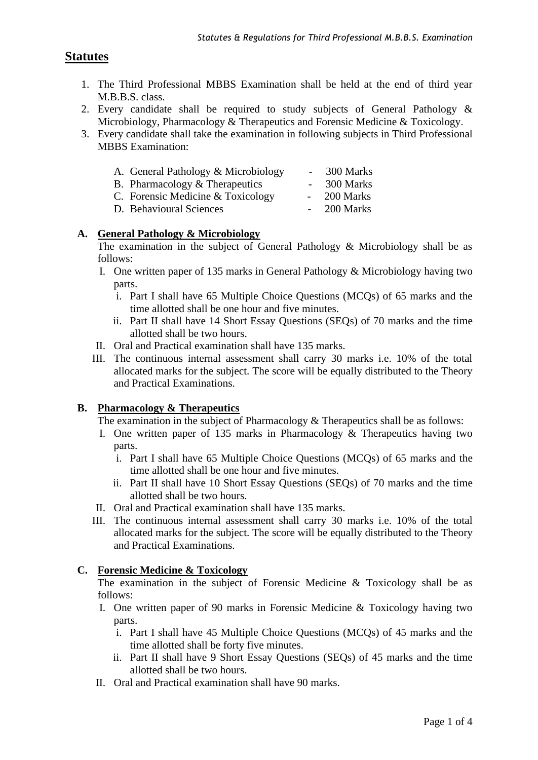# **Statutes**

- 1. The Third Professional MBBS Examination shall be held at the end of third year M.B.B.S. class.
- 2. Every candidate shall be required to study subjects of General Pathology & Microbiology, Pharmacology & Therapeutics and Forensic Medicine & Toxicology.
- 3. Every candidate shall take the examination in following subjects in Third Professional MBBS Examination:

| A. General Pathology & Microbiology | $\sim$ | 300 Marks    |
|-------------------------------------|--------|--------------|
| B. Pharmacology $&$ Therapeutics    |        | 300 Marks    |
| C. Forensic Medicine & Toxicology   |        | $-200$ Marks |
| D. Behavioural Sciences             |        | 200 Marks    |
|                                     |        |              |

### **A. General Pathology & Microbiology**

The examination in the subject of General Pathology & Microbiology shall be as follows:

- I. One written paper of 135 marks in General Pathology & Microbiology having two parts.
	- i. Part I shall have 65 Multiple Choice Questions (MCQs) of 65 marks and the time allotted shall be one hour and five minutes.
	- ii. Part II shall have 14 Short Essay Questions (SEQs) of 70 marks and the time allotted shall be two hours.
- II. Oral and Practical examination shall have 135 marks.
- III. The continuous internal assessment shall carry 30 marks i.e. 10% of the total allocated marks for the subject. The score will be equally distributed to the Theory and Practical Examinations.

### **B. Pharmacology & Therapeutics**

The examination in the subject of Pharmacology  $&$  Therapeutics shall be as follows:

- I. One written paper of 135 marks in Pharmacology  $&$  Therapeutics having two parts.
	- i. Part I shall have 65 Multiple Choice Questions (MCQs) of 65 marks and the time allotted shall be one hour and five minutes.
	- ii. Part II shall have 10 Short Essay Questions (SEQs) of 70 marks and the time allotted shall be two hours.
- II. Oral and Practical examination shall have 135 marks.
- III. The continuous internal assessment shall carry 30 marks i.e. 10% of the total allocated marks for the subject. The score will be equally distributed to the Theory and Practical Examinations.

### **C. Forensic Medicine & Toxicology**

The examination in the subject of Forensic Medicine & Toxicology shall be as follows:

- I. One written paper of 90 marks in Forensic Medicine & Toxicology having two parts.
	- i. Part I shall have 45 Multiple Choice Questions (MCQs) of 45 marks and the time allotted shall be forty five minutes.
	- ii. Part II shall have 9 Short Essay Questions (SEQs) of 45 marks and the time allotted shall be two hours.
- II. Oral and Practical examination shall have 90 marks.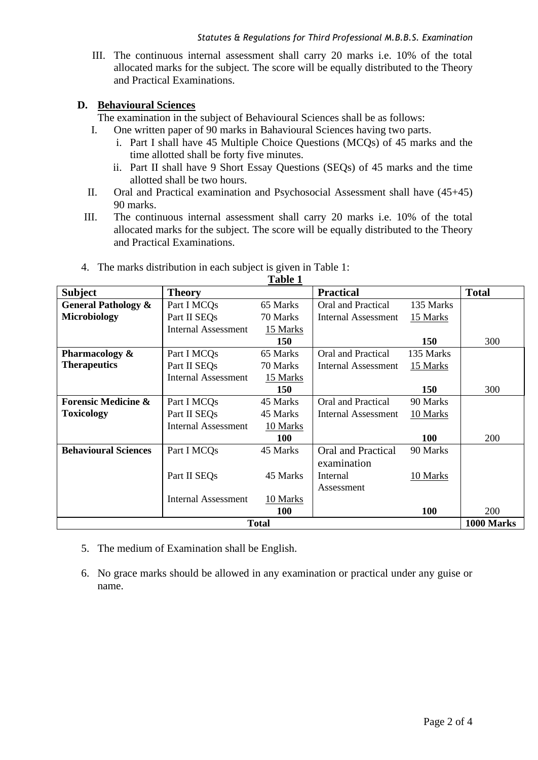III. The continuous internal assessment shall carry 20 marks i.e. 10% of the total allocated marks for the subject. The score will be equally distributed to the Theory and Practical Examinations.

### **D. Behavioural Sciences**

The examination in the subject of Behavioural Sciences shall be as follows:

- I. One written paper of 90 marks in Bahavioural Sciences having two parts.
	- i. Part I shall have 45 Multiple Choice Questions (MCQs) of 45 marks and the time allotted shall be forty five minutes.
	- ii. Part II shall have 9 Short Essay Questions (SEQs) of 45 marks and the time allotted shall be two hours.
- II. Oral and Practical examination and Psychosocial Assessment shall have (45+45) 90 marks.
- III. The continuous internal assessment shall carry 20 marks i.e. 10% of the total allocated marks for the subject. The score will be equally distributed to the Theory and Practical Examinations.

| 1 avie 1                       |                            |            |                            |           |              |  |  |  |
|--------------------------------|----------------------------|------------|----------------------------|-----------|--------------|--|--|--|
| <b>Subject</b>                 | <b>Theory</b>              |            | <b>Practical</b>           |           | <b>Total</b> |  |  |  |
| <b>General Pathology &amp;</b> | Part I MCQs                | 65 Marks   | Oral and Practical         | 135 Marks |              |  |  |  |
| <b>Microbiology</b>            | Part II SEQs               | 70 Marks   | <b>Internal Assessment</b> | 15 Marks  |              |  |  |  |
|                                | <b>Internal Assessment</b> | 15 Marks   |                            |           |              |  |  |  |
|                                |                            | 150        |                            | 150       | 300          |  |  |  |
| Pharmacology &                 | Part I MCQs                | 65 Marks   | Oral and Practical         | 135 Marks |              |  |  |  |
| <b>Therapeutics</b>            | Part II SEOs               | 70 Marks   | <b>Internal Assessment</b> | 15 Marks  |              |  |  |  |
|                                | <b>Internal Assessment</b> | 15 Marks   |                            |           |              |  |  |  |
|                                |                            | 150        |                            | 150       | 300          |  |  |  |
| <b>Forensic Medicine &amp;</b> | Part I MCQs                | 45 Marks   | Oral and Practical         | 90 Marks  |              |  |  |  |
| <b>Toxicology</b>              | Part II SEQs               | 45 Marks   | <b>Internal Assessment</b> | 10 Marks  |              |  |  |  |
|                                | <b>Internal Assessment</b> | 10 Marks   |                            |           |              |  |  |  |
|                                |                            | <b>100</b> |                            | 100       | <b>200</b>   |  |  |  |
| <b>Behavioural Sciences</b>    | Part I MCOs                | 45 Marks   | <b>Oral and Practical</b>  | 90 Marks  |              |  |  |  |
|                                |                            |            | examination                |           |              |  |  |  |
|                                | Part II SEQs               | 45 Marks   | Internal                   | 10 Marks  |              |  |  |  |
|                                |                            |            | Assessment                 |           |              |  |  |  |
|                                | Internal Assessment        | 10 Marks   |                            |           |              |  |  |  |
|                                |                            | 100        |                            | 100       | 200          |  |  |  |
| <b>Total</b>                   |                            |            |                            |           |              |  |  |  |

4. The marks distribution in each subject is given in Table 1:

#### **Table 1**

- 5. The medium of Examination shall be English.
- 6. No grace marks should be allowed in any examination or practical under any guise or name.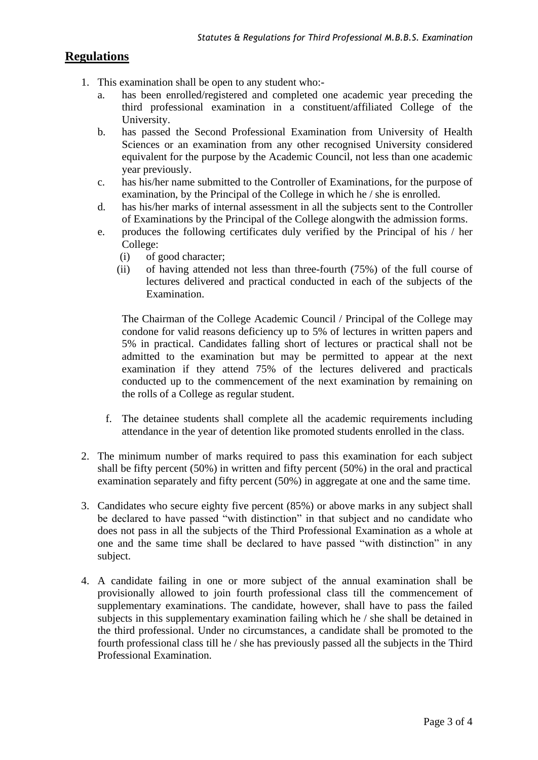# **Regulations**

- 1. This examination shall be open to any student who:
	- a. has been enrolled/registered and completed one academic year preceding the third professional examination in a constituent/affiliated College of the University.
	- b. has passed the Second Professional Examination from University of Health Sciences or an examination from any other recognised University considered equivalent for the purpose by the Academic Council, not less than one academic year previously.
	- c. has his/her name submitted to the Controller of Examinations, for the purpose of examination, by the Principal of the College in which he / she is enrolled.
	- d. has his/her marks of internal assessment in all the subjects sent to the Controller of Examinations by the Principal of the College alongwith the admission forms.
	- e. produces the following certificates duly verified by the Principal of his / her College:
		- (i) of good character;
		- (ii) of having attended not less than three-fourth (75%) of the full course of lectures delivered and practical conducted in each of the subjects of the Examination.

The Chairman of the College Academic Council / Principal of the College may condone for valid reasons deficiency up to 5% of lectures in written papers and 5% in practical. Candidates falling short of lectures or practical shall not be admitted to the examination but may be permitted to appear at the next examination if they attend 75% of the lectures delivered and practicals conducted up to the commencement of the next examination by remaining on the rolls of a College as regular student.

- f. The detainee students shall complete all the academic requirements including attendance in the year of detention like promoted students enrolled in the class.
- 2. The minimum number of marks required to pass this examination for each subject shall be fifty percent (50%) in written and fifty percent (50%) in the oral and practical examination separately and fifty percent (50%) in aggregate at one and the same time.
- 3. Candidates who secure eighty five percent (85%) or above marks in any subject shall be declared to have passed "with distinction" in that subject and no candidate who does not pass in all the subjects of the Third Professional Examination as a whole at one and the same time shall be declared to have passed "with distinction" in any subject.
- 4. A candidate failing in one or more subject of the annual examination shall be provisionally allowed to join fourth professional class till the commencement of supplementary examinations. The candidate, however, shall have to pass the failed subjects in this supplementary examination failing which he / she shall be detained in the third professional. Under no circumstances, a candidate shall be promoted to the fourth professional class till he / she has previously passed all the subjects in the Third Professional Examination.